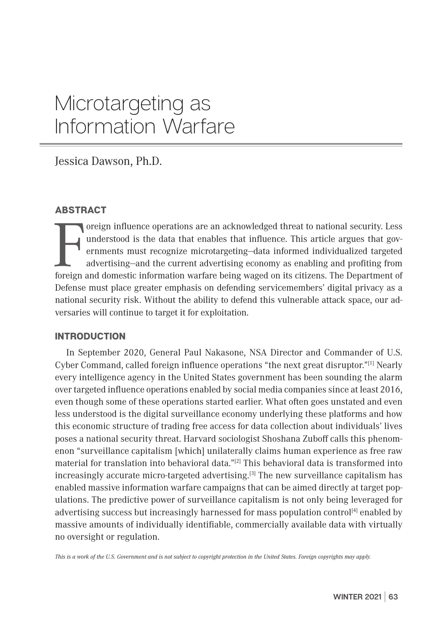# Microtargeting as Information Warfare

Jessica Dawson, Ph.D.

# ABSTRACT

oreign influence operations are an acknowledged threat to national security. Less<br>understood is the data that enables that influence. This article argues that governments must recognize microtargeting—data informed individ oreign influence operations are an acknowledged threat to national security. Less understood is the data that enables that influence. This article argues that governments must recognize microtargeting—data informed individualized targeted advertising—and the current advertising economy as enabling and profiting from Defense must place greater emphasis on defending servicemembers' digital privacy as a national security risk. Without the ability to defend this vulnerable attack space, our adversaries will continue to target it for exploitation.

# INTRODUCTION

 In September 2020, General Paul Nakasone, NSA Director and Commander of U.S. Cyber Command, called foreign influence operations "the next great disruptor."<sup>[1]</sup> Nearly every intelligence agency in the United States government has been sounding the alarm over targeted influence operations enabled by social media companies since at least 2016, even though some of these operations started earlier. What often goes unstated and even less understood is the digital surveillance economy underlying these platforms and how this economic structure of trading free access for data collection about individuals' lives poses a national security threat. Harvard sociologist Shoshana Zuboff calls this phenomenon "surveillance capitalism [which] unilaterally claims human experience as free raw material for translation into behavioral data."[2] This behavioral data is transformed into increasingly accurate micro-targeted advertising.[3] The new surveillance capitalism has enabled massive information warfare campaigns that can be aimed directly at target populations. The predictive power of surveillance capitalism is not only being leveraged for advertising success but increasingly harnessed for mass population control<sup>[4]</sup> enabled by massive amounts of individually identifiable, commercially available data with virtually no oversight or regulation.

*This is a work of the U.S. Government and is not subject to copyright protection in the United States. Foreign copyrights may apply.*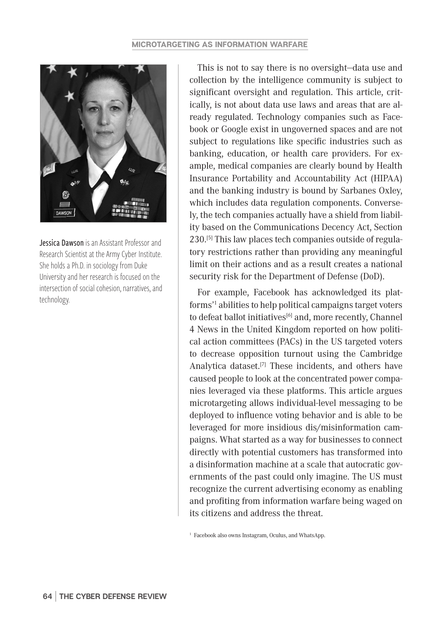

Jessica Dawson is an Assistant Professor and Research Scientist at the Army Cyber Institute. She holds a Ph.D. in sociology from Duke University and her research is focused on the intersection of social cohesion, narratives, and technology.

This is not to say there is no oversight—data use and collection by the intelligence community is subject to significant oversight and regulation. This article, critically, is not about data use laws and areas that are already regulated. Technology companies such as Facebook or Google exist in ungoverned spaces and are not subject to regulations like specific industries such as banking, education, or health care providers. For example, medical companies are clearly bound by Health Insurance Portability and Accountability Act (HIPAA) and the banking industry is bound by Sarbanes Oxley, which includes data regulation components. Conversely, the tech companies actually have a shield from liability based on the Communications Decency Act, Section 230.[5] This law places tech companies outside of regulatory restrictions rather than providing any meaningful limit on their actions and as a result creates a national security risk for the Department of Defense (DoD).

For example, Facebook has acknowledged its platforms'1 abilities to help political campaigns target voters to defeat ballot initiatives $[6]$  and, more recently, Channel 4 News in the United Kingdom reported on how political action committees (PACs) in the US targeted voters to decrease opposition turnout using the Cambridge Analytica dataset.<sup>[7]</sup> These incidents, and others have caused people to look at the concentrated power companies leveraged via these platforms. This article argues microtargeting allows individual-level messaging to be deployed to influence voting behavior and is able to be leveraged for more insidious dis/misinformation campaigns. What started as a way for businesses to connect directly with potential customers has transformed into a disinformation machine at a scale that autocratic governments of the past could only imagine. The US must recognize the current advertising economy as enabling and profiting from information warfare being waged on its citizens and address the threat.

<sup>1</sup> Facebook also owns Instagram, Oculus, and WhatsApp.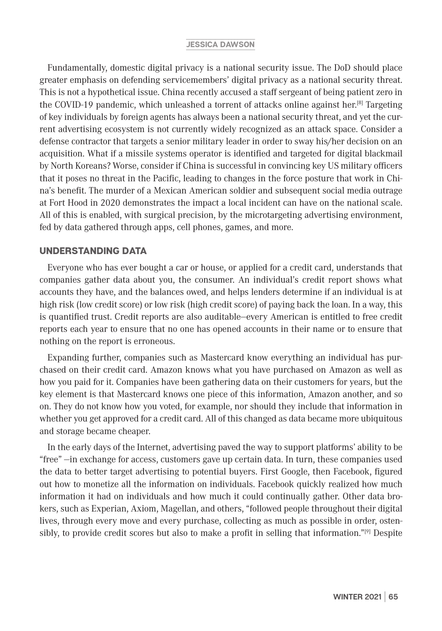Fundamentally, domestic digital privacy is a national security issue. The DoD should place greater emphasis on defending servicemembers' digital privacy as a national security threat. This is not a hypothetical issue. China recently accused a staff sergeant of being patient zero in the COVID-19 pandemic, which unleashed a torrent of attacks online against her.<sup>[8]</sup> Targeting of key individuals by foreign agents has always been a national security threat, and yet the current advertising ecosystem is not currently widely recognized as an attack space. Consider a defense contractor that targets a senior military leader in order to sway his/her decision on an acquisition. What if a missile systems operator is identified and targeted for digital blackmail by North Koreans? Worse, consider if China is successful in convincing key US military officers that it poses no threat in the Pacific, leading to changes in the force posture that work in China's benefit. The murder of a Mexican American soldier and subsequent social media outrage at Fort Hood in 2020 demonstrates the impact a local incident can have on the national scale. All of this is enabled, with surgical precision, by the microtargeting advertising environment, fed by data gathered through apps, cell phones, games, and more.

## UNDERSTANDING DATA

Everyone who has ever bought a car or house, or applied for a credit card, understands that companies gather data about you, the consumer. An individual's credit report shows what accounts they have, and the balances owed, and helps lenders determine if an individual is at high risk (low credit score) or low risk (high credit score) of paying back the loan. In a way, this is quantified trust. Credit reports are also auditable—every American is entitled to free credit reports each year to ensure that no one has opened accounts in their name or to ensure that nothing on the report is erroneous.

Expanding further, companies such as Mastercard know everything an individual has purchased on their credit card. Amazon knows what you have purchased on Amazon as well as how you paid for it. Companies have been gathering data on their customers for years, but the key element is that Mastercard knows one piece of this information, Amazon another, and so on. They do not know how you voted, for example, nor should they include that information in whether you get approved for a credit card. All of this changed as data became more ubiquitous and storage became cheaper.

In the early days of the Internet, advertising paved the way to support platforms' ability to be "free" —in exchange for access, customers gave up certain data. In turn, these companies used the data to better target advertising to potential buyers. First Google, then Facebook, figured out how to monetize all the information on individuals. Facebook quickly realized how much information it had on individuals and how much it could continually gather. Other data brokers, such as Experian, Axiom, Magellan, and others, "followed people throughout their digital lives, through every move and every purchase, collecting as much as possible in order, ostensibly, to provide credit scores but also to make a profit in selling that information."[9] Despite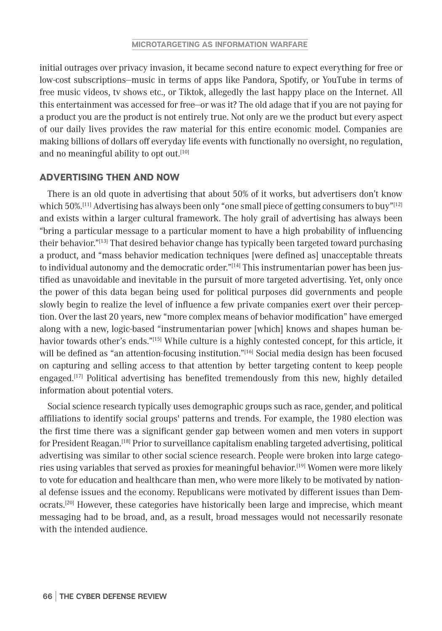initial outrages over privacy invasion, it became second nature to expect everything for free or low-cost subscriptions—music in terms of apps like Pandora, Spotify, or YouTube in terms of free music videos, tv shows etc., or Tiktok, allegedly the last happy place on the Internet. All this entertainment was accessed for free—or was it? The old adage that if you are not paying for a product you are the product is not entirely true. Not only are we the product but every aspect of our daily lives provides the raw material for this entire economic model. Companies are making billions of dollars off everyday life events with functionally no oversight, no regulation, and no meaningful ability to opt out.<sup>[10]</sup>

## ADVERTISING THEN AND NOW

There is an old quote in advertising that about 50% of it works, but advertisers don't know which  $50\%$ .<sup>[11]</sup> Advertising has always been only "one small piece of getting consumers to buy"<sup>[12]</sup> and exists within a larger cultural framework. The holy grail of advertising has always been "bring a particular message to a particular moment to have a high probability of influencing their behavior."[13] That desired behavior change has typically been targeted toward purchasing a product, and "mass behavior medication techniques [were defined as] unacceptable threats to individual autonomy and the democratic order." $[14]$  This instrumentarian power has been justified as unavoidable and inevitable in the pursuit of more targeted advertising. Yet, only once the power of this data began being used for political purposes did governments and people slowly begin to realize the level of influence a few private companies exert over their perception. Over the last 20 years, new "more complex means of behavior modification" have emerged along with a new, logic-based "instrumentarian power [which] knows and shapes human behavior towards other's ends."<sup>[15]</sup> While culture is a highly contested concept, for this article, it will be defined as "an attention-focusing institution."<sup>[16]</sup> Social media design has been focused on capturing and selling access to that attention by better targeting content to keep people engaged.[17] Political advertising has benefited tremendously from this new, highly detailed information about potential voters.

Social science research typically uses demographic groups such as race, gender, and political affiliations to identify social groups' patterns and trends. For example, the 1980 election was the first time there was a significant gender gap between women and men voters in support for President Reagan.[18] Prior to surveillance capitalism enabling targeted advertising, political advertising was similar to other social science research. People were broken into large categories using variables that served as proxies for meaningful behavior.<sup>[19]</sup> Women were more likely to vote for education and healthcare than men, who were more likely to be motivated by national defense issues and the economy. Republicans were motivated by different issues than Democrats.[20] However, these categories have historically been large and imprecise, which meant messaging had to be broad, and, as a result, broad messages would not necessarily resonate with the intended audience.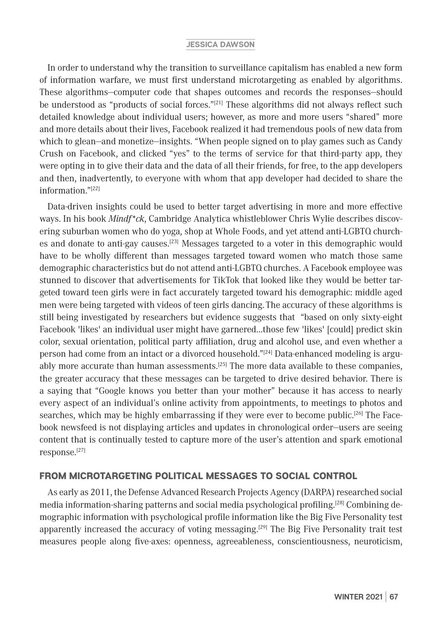In order to understand why the transition to surveillance capitalism has enabled a new form of information warfare, we must first understand microtargeting as enabled by algorithms. These algorithms—computer code that shapes outcomes and records the responses—should be understood as "products of social forces." $[21]$  These algorithms did not always reflect such detailed knowledge about individual users; however, as more and more users "shared" more and more details about their lives, Facebook realized it had tremendous pools of new data from which to glean—and monetize—insights. "When people signed on to play games such as Candy Crush on Facebook, and clicked "yes" to the terms of service for that third-party app, they were opting in to give their data and the data of all their friends, for free, to the app developers and then, inadvertently, to everyone with whom that app developer had decided to share the information."[22]

Data-driven insights could be used to better target advertising in more and more effective ways. In his book *Mindf\*ck*, Cambridge Analytica whistleblower Chris Wylie describes discovering suburban women who do yoga, shop at Whole Foods, and yet attend anti-LGBTQ churches and donate to anti-gay causes.[23] Messages targeted to a voter in this demographic would have to be wholly different than messages targeted toward women who match those same demographic characteristics but do not attend anti-LGBTQ churches. A Facebook employee was stunned to discover that advertisements for TikTok that looked like they would be better targeted toward teen girls were in fact accurately targeted toward his demographic: middle aged men were being targeted with videos of teen girls dancing.The accuracy of these algorithms is still being investigated by researchers but evidence suggests that "based on only sixty-eight Facebook 'likes' an individual user might have garnered…those few 'likes' [could] predict skin color, sexual orientation, political party affiliation, drug and alcohol use, and even whether a person had come from an intact or a divorced household."[24] Data-enhanced modeling is arguably more accurate than human assessments. $[25]$  The more data available to these companies, the greater accuracy that these messages can be targeted to drive desired behavior. There is a saying that "Google knows you better than your mother" because it has access to nearly every aspect of an individual's online activity from appointments, to meetings to photos and searches, which may be highly embarrassing if they were ever to become public.<sup>[26]</sup> The Facebook newsfeed is not displaying articles and updates in chronological order—users are seeing content that is continually tested to capture more of the user's attention and spark emotional response.[27]

## FROM MICROTARGETING POLITICAL MESSAGES TO SOCIAL CONTROL

As early as 2011, the Defense Advanced Research Projects Agency (DARPA) researched social media information-sharing patterns and social media psychological profiling.[28] Combining demographic information with psychological profile information like the Big Five Personality test apparently increased the accuracy of voting messaging.<sup>[29]</sup> The Big Five Personality trait test measures people along five-axes: openness, agreeableness, conscientiousness, neuroticism,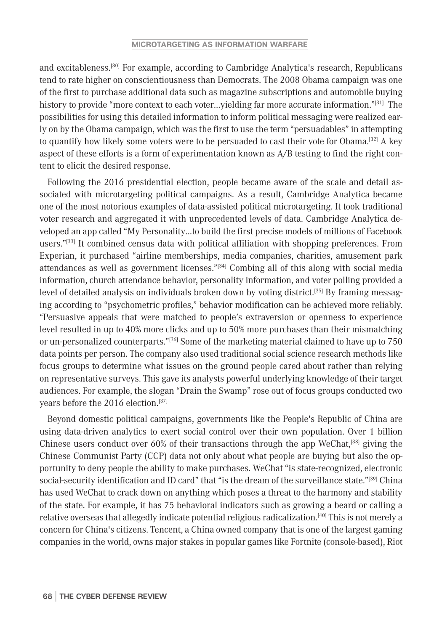and excitableness.[30] For example, according to Cambridge Analytica's research, Republicans tend to rate higher on conscientiousness than Democrats. The 2008 Obama campaign was one of the first to purchase additional data such as magazine subscriptions and automobile buying history to provide "more context to each voter...yielding far more accurate information."<sup>[31]</sup> The possibilities for using this detailed information to inform political messaging were realized early on by the Obama campaign, which was the first to use the term "persuadables" in attempting to quantify how likely some voters were to be persuaded to cast their vote for Obama.[32] A key aspect of these efforts is a form of experimentation known as A/B testing to find the right content to elicit the desired response.

Following the 2016 presidential election, people became aware of the scale and detail associated with microtargeting political campaigns. As a result, Cambridge Analytica became one of the most notorious examples of data-assisted political microtargeting. It took traditional voter research and aggregated it with unprecedented levels of data. Cambridge Analytica developed an app called "My Personality…to build the first precise models of millions of Facebook users."[33] It combined census data with political affiliation with shopping preferences. From Experian, it purchased "airline memberships, media companies, charities, amusement park attendances as well as government licenses."[34] Combing all of this along with social media information, church attendance behavior, personality information, and voter polling provided a level of detailed analysis on individuals broken down by voting district.<sup>[35]</sup> By framing messaging according to "psychometric profiles," behavior modification can be achieved more reliably. "Persuasive appeals that were matched to people's extraversion or openness to experience level resulted in up to 40% more clicks and up to 50% more purchases than their mismatching or un-personalized counterparts."<sup>[36]</sup> Some of the marketing material claimed to have up to 750 data points per person. The company also used traditional social science research methods like focus groups to determine what issues on the ground people cared about rather than relying on representative surveys. This gave its analysts powerful underlying knowledge of their target audiences. For example, the slogan "Drain the Swamp" rose out of focus groups conducted two years before the 2016 election.<sup>[37]</sup>

Beyond domestic political campaigns, governments like the People's Republic of China are using data-driven analytics to exert social control over their own population. Over 1 billion Chinese users conduct over 60% of their transactions through the app WeChat,<sup>[38]</sup> giving the Chinese Communist Party (CCP) data not only about what people are buying but also the opportunity to deny people the ability to make purchases. WeChat "is state-recognized, electronic social-security identification and ID card" that "is the dream of the surveillance state."<sup>[39]</sup> China has used WeChat to crack down on anything which poses a threat to the harmony and stability of the state. For example, it has 75 behavioral indicators such as growing a beard or calling a relative overseas that allegedly indicate potential religious radicalization.[40] This is not merely a concern for China's citizens. Tencent, a China owned company that is one of the largest gaming companies in the world, owns major stakes in popular games like Fortnite (console-based), Riot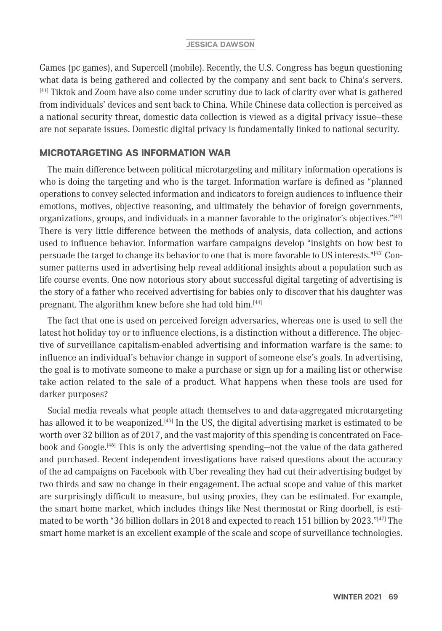Games (pc games), and Supercell (mobile). Recently, the U.S. Congress has begun questioning what data is being gathered and collected by the company and sent back to China's servers. [41] Tiktok and Zoom have also come under scrutiny due to lack of clarity over what is gathered from individuals' devices and sent back to China. While Chinese data collection is perceived as a national security threat, domestic data collection is viewed as a digital privacy issue—these are not separate issues. Domestic digital privacy is fundamentally linked to national security.

# MICROTARGETING AS INFORMATION WAR

The main difference between political microtargeting and military information operations is who is doing the targeting and who is the target. Information warfare is defined as "planned operations to convey selected information and indicators to foreign audiences to influence their emotions, motives, objective reasoning, and ultimately the behavior of foreign governments, organizations, groups, and individuals in a manner favorable to the originator's objectives."<sup>[42]</sup> There is very little difference between the methods of analysis, data collection, and actions used to influence behavior. Information warfare campaigns develop "insights on how best to persuade the target to change its behavior to one that is more favorable to US interests."[43] Consumer patterns used in advertising help reveal additional insights about a population such as life course events. One now notorious story about successful digital targeting of advertising is the story of a father who received advertising for babies only to discover that his daughter was pregnant. The algorithm knew before she had told him.[44]

The fact that one is used on perceived foreign adversaries, whereas one is used to sell the latest hot holiday toy or to influence elections, is a distinction without a difference. The objective of surveillance capitalism-enabled advertising and information warfare is the same: to influence an individual's behavior change in support of someone else's goals. In advertising, the goal is to motivate someone to make a purchase or sign up for a mailing list or otherwise take action related to the sale of a product. What happens when these tools are used for darker purposes?

Social media reveals what people attach themselves to and data-aggregated microtargeting has allowed it to be weaponized.<sup>[45]</sup> In the US, the digital advertising market is estimated to be worth over 32 billion as of 2017, and the vast majority of this spending is concentrated on Facebook and Google.[46] This is only the advertising spending—not the value of the data gathered and purchased. Recent independent investigations have raised questions about the accuracy of the ad campaigns on Facebook with Uber revealing they had cut their advertising budget by two thirds and saw no change in their engagement. The actual scope and value of this market are surprisingly difficult to measure, but using proxies, they can be estimated. For example, the smart home market, which includes things like Nest thermostat or Ring doorbell, is estimated to be worth "36 billion dollars in 2018 and expected to reach 151 billion by 2023." $[47]$  The smart home market is an excellent example of the scale and scope of surveillance technologies.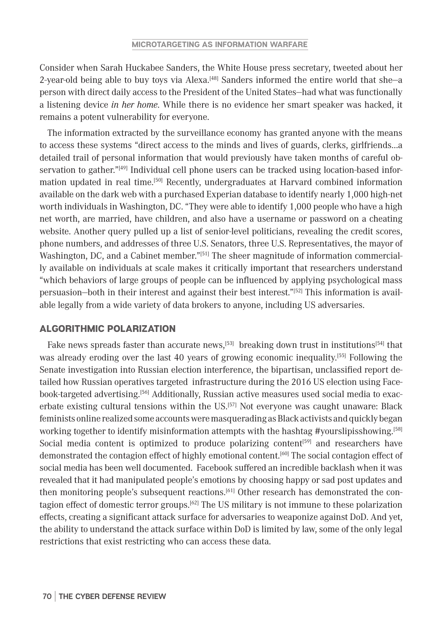Consider when Sarah Huckabee Sanders, the White House press secretary, tweeted about her 2-year-old being able to buy toys via Alexa. $^{[48]}$  Sanders informed the entire world that she—a person with direct daily access to the President of the United States—had what was functionally a listening device *in her home*. While there is no evidence her smart speaker was hacked, it remains a potent vulnerability for everyone.

The information extracted by the surveillance economy has granted anyone with the means to access these systems "direct access to the minds and lives of guards, clerks, girlfriends…a detailed trail of personal information that would previously have taken months of careful observation to gather."<sup>[49]</sup> Individual cell phone users can be tracked using location-based information updated in real time.[50] Recently, undergraduates at Harvard combined information available on the dark web with a purchased Experian database to identify nearly 1,000 high-net worth individuals in Washington, DC. "They were able to identify 1,000 people who have a high net worth, are married, have children, and also have a username or password on a cheating website. Another query pulled up a list of senior-level politicians, revealing the credit scores, phone numbers, and addresses of three U.S. Senators, three U.S. Representatives, the mayor of Washington, DC, and a Cabinet member."<sup>[51]</sup> The sheer magnitude of information commercially available on individuals at scale makes it critically important that researchers understand "which behaviors of large groups of people can be influenced by applying psychological mass persuasion-both in their interest and against their best interest."<sup>[52]</sup> This information is available legally from a wide variety of data brokers to anyone, including US adversaries.

## ALGORITHMIC POLARIZATION

Fake news spreads faster than accurate news,<sup>[53]</sup> breaking down trust in institutions<sup>[54]</sup> that was already eroding over the last 40 years of growing economic inequality.<sup>[55]</sup> Following the Senate investigation into Russian election interference, the bipartisan, unclassified report detailed how Russian operatives targeted infrastructure during the 2016 US election using Facebook-targeted advertising.[56] Additionally, Russian active measures used social media to exacerbate existing cultural tensions within the US.[57] Not everyone was caught unaware: Black feminists online realized some accounts were masquerading as Black activists and quickly began working together to identify misinformation attempts with the hashtag #yourslipisshowing.<sup>[58]</sup> Social media content is optimized to produce polarizing content<sup>[59]</sup> and researchers have demonstrated the contagion effect of highly emotional content.<sup>[60]</sup> The social contagion effect of social media has been well documented. Facebook suffered an incredible backlash when it was revealed that it had manipulated people's emotions by choosing happy or sad post updates and then monitoring people's subsequent reactions.<sup>[61]</sup> Other research has demonstrated the contagion effect of domestic terror groups.<sup>[62]</sup> The US military is not immune to these polarization effects, creating a significant attack surface for adversaries to weaponize against DoD. And yet, the ability to understand the attack surface within DoD is limited by law, some of the only legal restrictions that exist restricting who can access these data.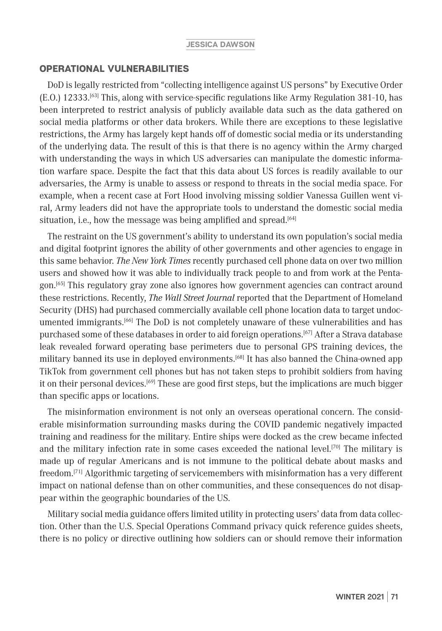## OPERATIONAL VULNERABILITIES

DoD is legally restricted from "collecting intelligence against US persons" by Executive Order (E.O.) 12333.[63] This, along with service-specific regulations like Army Regulation 381-10, has been interpreted to restrict analysis of publicly available data such as the data gathered on social media platforms or other data brokers. While there are exceptions to these legislative restrictions, the Army has largely kept hands off of domestic social media or its understanding of the underlying data. The result of this is that there is no agency within the Army charged with understanding the ways in which US adversaries can manipulate the domestic information warfare space. Despite the fact that this data about US forces is readily available to our adversaries, the Army is unable to assess or respond to threats in the social media space. For example, when a recent case at Fort Hood involving missing soldier Vanessa Guillen went viral, Army leaders did not have the appropriate tools to understand the domestic social media situation, i.e., how the message was being amplified and spread.<sup>[64]</sup>

The restraint on the US government's ability to understand its own population's social media and digital footprint ignores the ability of other governments and other agencies to engage in this same behavior. *The New York Times* recently purchased cell phone data on over two million users and showed how it was able to individually track people to and from work at the Pentagon.[65] This regulatory gray zone also ignores how government agencies can contract around these restrictions. Recently, *The Wall Street Journal* reported that the Department of Homeland Security (DHS) had purchased commercially available cell phone location data to target undocumented immigrants.[66] The DoD is not completely unaware of these vulnerabilities and has purchased some of these databases in order to aid foreign operations.[67] After a Strava database leak revealed forward operating base perimeters due to personal GPS training devices, the military banned its use in deployed environments.<sup>[68]</sup> It has also banned the China-owned app TikTok from government cell phones but has not taken steps to prohibit soldiers from having it on their personal devices.[69] These are good first steps, but the implications are much bigger than specific apps or locations.

The misinformation environment is not only an overseas operational concern. The considerable misinformation surrounding masks during the COVID pandemic negatively impacted training and readiness for the military. Entire ships were docked as the crew became infected and the military infection rate in some cases exceeded the national level.<sup>[70]</sup> The military is made up of regular Americans and is not immune to the political debate about masks and freedom.[71] Algorithmic targeting of servicemembers with misinformation has a very different impact on national defense than on other communities, and these consequences do not disappear within the geographic boundaries of the US.

Military social media guidance offers limited utility in protecting users' data from data collection. Other than the U.S. Special Operations Command privacy quick reference guides sheets, there is no policy or directive outlining how soldiers can or should remove their information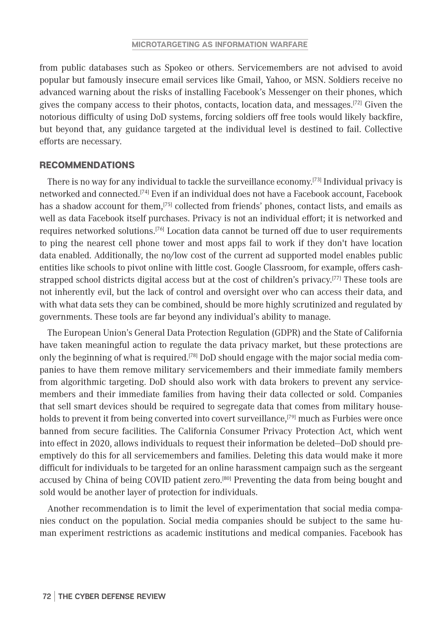from public databases such as Spokeo or others. Servicemembers are not advised to avoid popular but famously insecure email services like Gmail, Yahoo, or MSN. Soldiers receive no advanced warning about the risks of installing Facebook's Messenger on their phones, which gives the company access to their photos, contacts, location data, and messages.<sup>[72]</sup> Given the notorious difficulty of using DoD systems, forcing soldiers off free tools would likely backfire, but beyond that, any guidance targeted at the individual level is destined to fail. Collective efforts are necessary.

## RECOMMENDATIONS

There is no way for any individual to tackle the surveillance economy.[73] Individual privacy is networked and connected.[74] Even if an individual does not have a Facebook account, Facebook has a shadow account for them,<sup>[75]</sup> collected from friends' phones, contact lists, and emails as well as data Facebook itself purchases. Privacy is not an individual effort; it is networked and requires networked solutions.[76] Location data cannot be turned off due to user requirements to ping the nearest cell phone tower and most apps fail to work if they don't have location data enabled. Additionally, the no/low cost of the current ad supported model enables public entities like schools to pivot online with little cost. Google Classroom, for example, offers cashstrapped school districts digital access but at the cost of children's privacy.<sup>[77]</sup> These tools are not inherently evil, but the lack of control and oversight over who can access their data, and with what data sets they can be combined, should be more highly scrutinized and regulated by governments. These tools are far beyond any individual's ability to manage.

The European Union's General Data Protection Regulation (GDPR) and the State of California have taken meaningful action to regulate the data privacy market, but these protections are only the beginning of what is required.<sup>[78]</sup> DoD should engage with the major social media companies to have them remove military servicemembers and their immediate family members from algorithmic targeting. DoD should also work with data brokers to prevent any servicemembers and their immediate families from having their data collected or sold. Companies that sell smart devices should be required to segregate data that comes from military households to prevent it from being converted into covert surveillance,<sup>[79]</sup> much as Furbies were once banned from secure facilities. The California Consumer Privacy Protection Act, which went into effect in 2020, allows individuals to request their information be deleted—DoD should preemptively do this for all servicemembers and families. Deleting this data would make it more difficult for individuals to be targeted for an online harassment campaign such as the sergeant accused by China of being COVID patient zero.[80] Preventing the data from being bought and sold would be another layer of protection for individuals.

Another recommendation is to limit the level of experimentation that social media companies conduct on the population. Social media companies should be subject to the same human experiment restrictions as academic institutions and medical companies. Facebook has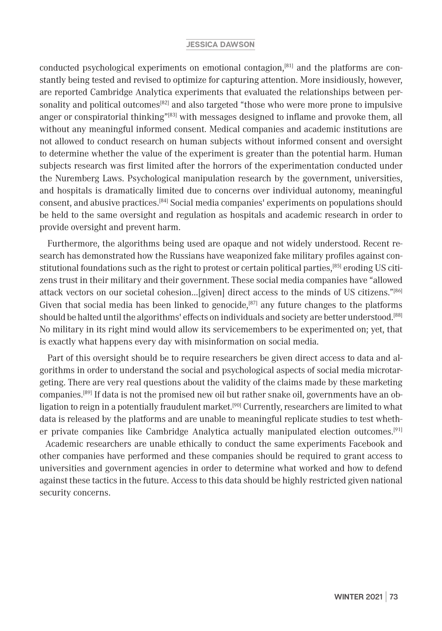conducted psychological experiments on emotional contagion,<sup>[81]</sup> and the platforms are constantly being tested and revised to optimize for capturing attention. More insidiously, however, are reported Cambridge Analytica experiments that evaluated the relationships between personality and political outcomes<sup>[82]</sup> and also targeted "those who were more prone to impulsive anger or conspiratorial thinking"<sup>[83]</sup> with messages designed to inflame and provoke them, all without any meaningful informed consent. Medical companies and academic institutions are not allowed to conduct research on human subjects without informed consent and oversight to determine whether the value of the experiment is greater than the potential harm. Human subjects research was first limited after the horrors of the experimentation conducted under the Nuremberg Laws. Psychological manipulation research by the government, universities, and hospitals is dramatically limited due to concerns over individual autonomy, meaningful consent, and abusive practices.[84] Social media companies' experiments on populations should be held to the same oversight and regulation as hospitals and academic research in order to provide oversight and prevent harm.

Furthermore, the algorithms being used are opaque and not widely understood. Recent research has demonstrated how the Russians have weaponized fake military profiles against constitutional foundations such as the right to protest or certain political parties,[85] eroding US citizens trust in their military and their government. These social media companies have "allowed attack vectors on our societal cohesion…[given] direct access to the minds of US citizens."[86] Given that social media has been linked to genocide, $[87]$  any future changes to the platforms should be halted until the algorithms' effects on individuals and society are better understood.[88] No military in its right mind would allow its servicemembers to be experimented on; yet, that is exactly what happens every day with misinformation on social media.

Part of this oversight should be to require researchers be given direct access to data and algorithms in order to understand the social and psychological aspects of social media microtargeting. There are very real questions about the validity of the claims made by these marketing companies.[89] If data is not the promised new oil but rather snake oil, governments have an obligation to reign in a potentially fraudulent market.<sup>[90]</sup> Currently, researchers are limited to what data is released by the platforms and are unable to meaningful replicate studies to test whether private companies like Cambridge Analytica actually manipulated election outcomes.[91]

 Academic researchers are unable ethically to conduct the same experiments Facebook and other companies have performed and these companies should be required to grant access to universities and government agencies in order to determine what worked and how to defend against these tactics in the future. Access to this data should be highly restricted given national security concerns.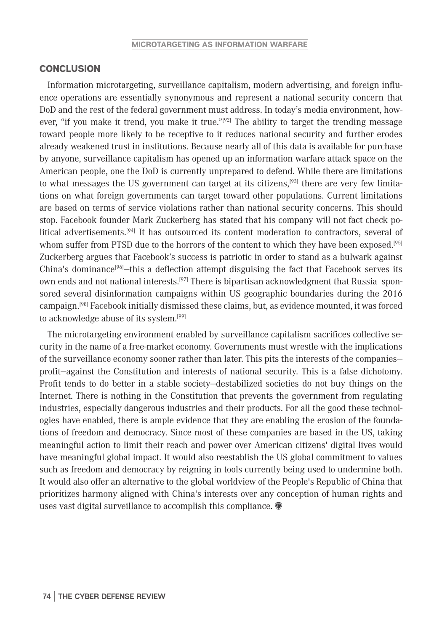#### **CONCLUSION**

Information microtargeting, surveillance capitalism, modern advertising, and foreign influence operations are essentially synonymous and represent a national security concern that DoD and the rest of the federal government must address. In today's media environment, however, "if you make it trend, you make it true."<sup>[92]</sup> The ability to target the trending message toward people more likely to be receptive to it reduces national security and further erodes already weakened trust in institutions. Because nearly all of this data is available for purchase by anyone, surveillance capitalism has opened up an information warfare attack space on the American people, one the DoD is currently unprepared to defend. While there are limitations to what messages the US government can target at its citizens, $[93]$  there are very few limitations on what foreign governments can target toward other populations. Current limitations are based on terms of service violations rather than national security concerns. This should stop. Facebook founder Mark Zuckerberg has stated that his company will not fact check political advertisements.<sup>[94]</sup> It has outsourced its content moderation to contractors, several of whom suffer from PTSD due to the horrors of the content to which they have been exposed.<sup>[95]</sup> Zuckerberg argues that Facebook's success is patriotic in order to stand as a bulwark against China's dominance<sup>[96]</sup>—this a deflection attempt disguising the fact that Facebook serves its own ends and not national interests.[97] There is bipartisan acknowledgment that Russia sponsored several disinformation campaigns within US geographic boundaries during the 2016 campaign.[98] Facebook initially dismissed these claims, but, as evidence mounted, it was forced to acknowledge abuse of its system.[99]

The microtargeting environment enabled by surveillance capitalism sacrifices collective security in the name of a free-market economy. Governments must wrestle with the implications of the surveillance economy sooner rather than later. This pits the interests of the companies profit—against the Constitution and interests of national security. This is a false dichotomy. Profit tends to do better in a stable society—destabilized societies do not buy things on the Internet. There is nothing in the Constitution that prevents the government from regulating industries, especially dangerous industries and their products. For all the good these technologies have enabled, there is ample evidence that they are enabling the erosion of the foundations of freedom and democracy. Since most of these companies are based in the US, taking meaningful action to limit their reach and power over American citizens' digital lives would have meaningful global impact. It would also reestablish the US global commitment to values such as freedom and democracy by reigning in tools currently being used to undermine both. It would also offer an alternative to the global worldview of the People's Republic of China that prioritizes harmony aligned with China's interests over any conception of human rights and uses vast digital surveillance to accomplish this compliance.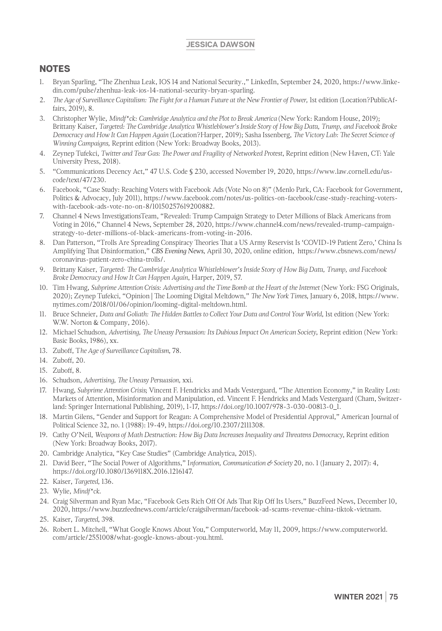- 1. Bryan Sparling, "The Zhenhua Leak, IOS 14 and National Security.," LinkedIn, September 24, 2020, https://www.linkedin.com/pulse/zhenhua-leak-ios-14-national-security-bryan-sparling.
- 2. *The Age of Surveillance Capitalism: The Fight for a Human Future at the New Frontier of Power,* 1st edition (Location?PublicAffairs, 2019), 8.
- 3. Christopher Wylie, *Mindf\*ck: Cambridge Analytica and the Plot to Break America* (New York: Random House, 2019); Brittany Kaiser, *Targeted: The Cambridge Analytica Whistleblower's Inside Story of How Big Data, Trump, and Facebook Broke Democracy and How It Can Happen Again* (Location?Harper, 2019); Sasha Issenberg, *The Victory Lab: The Secret Science of Winning Campaigns,* Reprint edition (New York: Broadway Books, 2013).
- 4. Zeynep Tufekci, *Twitter and Tear Gas: The Power and Fragility of Networked Protest*, Reprint edition (New Haven, CT: Yale University Press, 2018).
- 5. "Communications Decency Act," 47 U.S. Code § 230, accessed November 19, 2020, https://www.law.cornell.edu/uscode/text/47/230.
- 6. Facebook, "Case Study: Reaching Voters with Facebook Ads (Vote No on 8)" (Menlo Park, CA: Facebook for Government, Politics & Advocacy, July 2011), https://www.facebook.com/notes/us-politics-on-facebook/case-study-reaching-voterswith-facebook-ads-vote-no-on-8/10150257619200882.
- 7. Channel 4 News InvestigationsTeam, "Revealed: Trump Campaign Strategy to Deter Millions of Black Americans from Voting in 2016," Channel 4 News, September 28, 2020, https://www.channel4.com/news/revealed-trump-campaignstrategy-to-deter-millions-of-black-americans-from-voting-in-2016.
- 8. Dan Patterson, "Trolls Are Spreading Conspiracy Theories That a US Army Reservist Is 'COVID-19 Patient Zero,' China Is Amplifying That Disinformation," *CBS Evening News*, April 30, 2020, online edition, https://www.cbsnews.com/news/ coronavirus-patient-zero-china-trolls/.
- 9. Brittany Kaiser, *Targeted: The Cambridge Analytica Whistleblower's Inside Story of How Big Data, Trump, and Facebook Broke Democracy and How It Can Happen Again*, Harper, 2019, 57.
- 10. Tim Hwang, *Subprime Attention Crisis: Advertising and the Time Bomb at the Heart of the Internet* (New York: FSG Originals, 2020); Zeynep Tufekci, "Opinion | The Looming Digital Meltdown," *The New York Times*, January 6, 2018, https://www. nytimes.com/2018/01/06/opinion/looming-digital-meltdown.html.
- 11. Bruce Schneier, *Data and Goliath: The Hidden Battles to Collect Your Data and Control Your World*, 1st edition (New York: W.W. Norton & Company, 2016).
- 12. Michael Schudson, *Advertising, The Uneasy Persuasion: Its Dubious Impact On American Society*, Reprint edition (New York: Basic Books, 1986), xx.
- 13. Zuboff, T*he Age of Surveillance Capitalism*, 78.
- 14. Zuboff, 20.
- 15. Zuboff, 8.
- 16. Schudson, *Advertising, The Uneasy Persuasion,* xxi.
- 17. Hwang, *Subprime Attention Crisis*; Vincent F. Hendricks and Mads Vestergaard, "The Attention Economy," in Reality Lost: Markets of Attention, Misinformation and Manipulation, ed. Vincent F. Hendricks and Mads Vestergaard (Cham, Switzerland: Springer International Publishing, 2019), 1-17, https://doi.org/10.1007/978-3-030-00813-0\_1.
- 18. Martin Gilens, "Gender and Support for Reagan: A Comprehensive Model of Presidential Approval," American Journal of Political Science 32, no. 1 (1988): 19-49, https://doi.org/10.2307/2111308.
- 19. Cathy O'Neil, *Weapons of Math Destruction: How Big Data Increases Inequality and Threatens Democracy*, Reprint edition (New York: Broadway Books, 2017).
- 20. Cambridge Analytica, "Key Case Studies" (Cambridge Analytica, 2015).
- 21. David Beer, "The Social Power of Algorithms," I*nformation, Communication & Society* 20, no. 1 (January 2, 2017): 4, https://doi.org/10.1080/1369118X.2016.1216147.
- 22. Kaiser, *Targeted,* 136.
- 23. Wylie, *Mindf\*ck*.
- 24. Craig Silverman and Ryan Mac, "Facebook Gets Rich Off Of Ads That Rip Off Its Users," BuzzFeed News, December 10, 2020, https://www.buzzfeednews.com/article/craigsilverman/facebook-ad-scams-revenue-china-tiktok-vietnam.
- 25. Kaiser, *Targeted*, 398.
- 26. Robert L. Mitchell, "What Google Knows About You," Computerworld, May 11, 2009, https://www.computerworld. com/article/2551008/what-google-knows-about-you.html.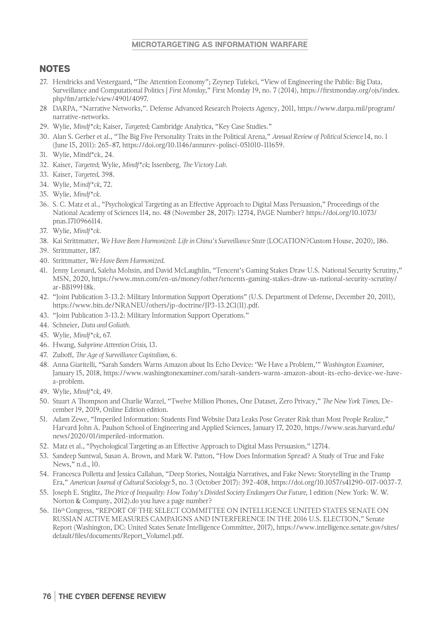#### **MICROTARGETING AS INFORMATION WARFARE**

- 27. Hendricks and Vestergaard, "The Attention Economy"; Zeynep Tufekci, "View of Engineering the Public: Big Data, Surveillance and Computational Politics | *First Monday*," First Monday 19, no. 7 (2014), https://firstmonday.org/ojs/index. php/fm/article/view/4901/4097.
- 28 DARPA, "Narrative Networks,". Defense Advanced Research Projects Agency, 2011, https://www.darpa.mil/program/ narrative-networks.
- 29. Wylie, *Mindf\*ck*; Kaiser, *Targeted*; Cambridge Analytica, "Key Case Studies."
- 30. Alan S. Gerber et al., "The Big Five Personality Traits in the Political Arena," *Annual Review of Political Science* 14, no. 1 (June 15, 2011): 265-87, https://doi.org/10.1146/annurev-polisci-051010-111659.
- 31. Wylie, Mindf\*ck, 24.
- 32. Kaiser, *Targeted*; Wylie, *Mindf\*ck*; Issenberg, *The Victory Lab*.
- 33. Kaiser, *Targeted*, 398.
- 34. Wylie, M*indf\*ck*, 72.
- 35. Wylie, *Mindf\*ck.*
- 36. S. C. Matz et al., "Psychological Targeting as an Effective Approach to Digital Mass Persuasion," Proceedings of the National Academy of Sciences 114, no. 48 (November 28, 2017): 12714, PAGE Number? https://doi.org/10.1073/ pnas.1710966114.
- 37. Wylie, *Mindf\*ck*.
- 38. Kai Strittmatter, *We Have Been Harmonized: Life in China's Surveillance State* (LOCATION?Custom House, 2020), 186.
- 39. Strittmatter, 187.
- 40. Strittmatter, *We Have Been Harmonized*.
- 41. Jenny Leonard, Saleha Mohsin, and David McLaughlin, "Tencent's Gaming Stakes Draw U.S. National Security Scrutiny," MSN, 2020, https://www.msn.com/en-us/money/other/tencents-gaming-stakes-draw-us-national-security-scrutiny/ ar-BB199H8k.
- 42. "Joint Publication 3-13.2: Military Information Support Operations" (U.S. Department of Defense, December 20, 2011), https://www.bits.de/NRANEU/others/jp-doctrine/JP3-13.2C1(11).pdf.
- 43. "Joint Publication 3-13.2: Military Information Support Operations."
- 44. Schneier, *Data and Goliath*.
- 45. Wylie, *Mindf\*ck*, 67.
- 46. Hwang, *Subprime Attention Crisis*, 13.
- 47. Zuboff, *The Age of Surveillance Capitalism*, 6.
- 48. Anna Giaritelli, "Sarah Sanders Warns Amazon about Its Echo Device: 'We Have a Problem,'" *Washington Examiner*, January 15, 2018, https://www.washingtonexaminer.com/sarah-sanders-warns-amazon-about-its-echo-device-we-havea-problem.
- 49. Wylie, *Mindf\*ck*, 49.
- 50. Stuart A Thompson and Charlie Warzel, "Twelve Million Phones, One Dataset, Zero Privacy," *The New York Times,* December 19, 2019, Online Edition edition.
- 51. Adam Zewe, "Imperiled Information: Students Find Website Data Leaks Pose Greater Risk than Most People Realize," Harvard John A. Paulson School of Engineering and Applied Sciences, January 17, 2020, https://www.seas.harvard.edu/ news/2020/01/imperiled-information.
- 52. Matz et al., "Psychological Targeting as an Effective Approach to Digital Mass Persuasion," 12714.
- 53. Sandeep Suntwal, Susan A. Brown, and Mark W. Patton, "How Does Information Spread? A Study of True and Fake News," n.d., 10.
- 54. Francesca Polletta and Jessica Callahan, "Deep Stories, Nostalgia Narratives, and Fake News: Storytelling in the Trump Era," *American Journal of Cultural Sociology* 5, no. 3 (October 2017): 392-408, https://doi.org/10.1057/s41290-017-0037-7.
- 55. Joseph E. Stiglitz, *The Price of Inequality: How Today's Divided Society Endangers Our Future,* 1 edition (New York: W. W. Norton & Company, 2012).do you have a page number?
- 56. 116th Congress, "REPORT OF THE SELECT COMMITTEE ON INTELLIGENCE UNITED STATES SENATE ON RUSSIAN ACTIVE MEASURES CAMPAIGNS AND INTERFERENCE IN THE 2016 U.S. ELECTION," Senate Report (Washington, DC: United States Senate Intelligence Committee, 2017), https://www.intelligence.senate.gov/sites/ default/files/documents/Report\_Volume1.pdf.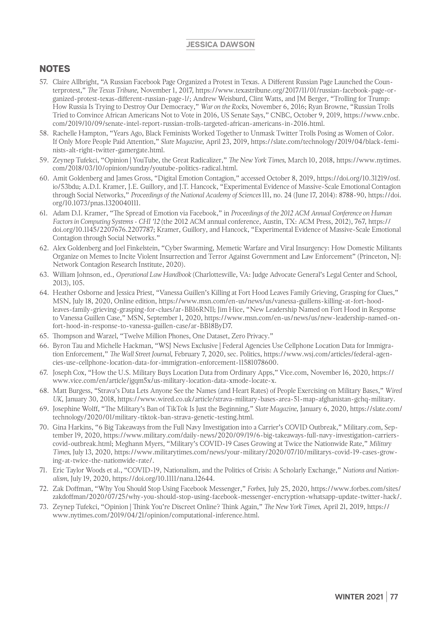- 57. Claire Allbright, "A Russian Facebook Page Organized a Protest in Texas. A Different Russian Page Launched the Counterprotest," *The Texas Tribune*, November 1, 2017, https://www.texastribune.org/2017/11/01/russian-facebook-page-organized-protest-texas-different-russian-page-l/; Andrew Weisburd, Clint Watts, and JM Berger, "Trolling for Trump: How Russia Is Trying to Destroy Our Democracy," *War on the Rocks*, November 6, 2016; Ryan Browne, "Russian Trolls Tried to Convince African Americans Not to Vote in 2016, US Senate Says," CNBC, October 9, 2019, https://www.cnbc. com/2019/10/09/senate-intel-report-russian-trolls-targeted-african-americans-in-2016.html.
- 58. Rachelle Hampton, "Years Ago, Black Feminists Worked Together to Unmask Twitter Trolls Posing as Women of Color. If Only More People Paid Attention," *Slate Magazine*, April 23, 2019, https://slate.com/technology/2019/04/black-feminists-alt-right-twitter-gamergate.html.
- 59. Zeynep Tufekci, "Opinion | YouTube, the Great Radicalizer," *The New York Times*, March 10, 2018, https://www.nytimes. com/2018/03/10/opinion/sunday/youtube-politics-radical.html.
- 60. Amit Goldenberg and James Gross, "Digital Emotion Contagion," accessed October 8, 2019, https://doi.org/10.31219/osf. io/53bdu; A.D.I. Kramer, J.E. Guillory, and J.T. Hancock, "Experimental Evidence of Massive-Scale Emotional Contagion through Social Networks," *Proceedings of the National Academy of Sciences* 111, no. 24 (June 17, 2014): 8788-90, https://doi. org/10.1073/pnas.1320040111.
- 61. Adam D.I. Kramer, "The Spread of Emotion via Facebook," in *Proceedings of the 2012 ACM Annual Conference on Human Factors in Computing Systems - CHI '12* (the 2012 ACM annual conference, Austin, TX: ACM Press, 2012), 767, https:// doi.org/10.1145/2207676.2207787; Kramer, Guillory, and Hancock, "Experimental Evidence of Massive-Scale Emotional Contagion through Social Networks."
- 62. Alex Goldenberg and Joel Finkelstein, "Cyber Swarming, Memetic Warfare and Viral Insurgency: How Domestic Militants Organize on Memes to Incite Violent Insurrection and Terror Against Government and Law Enforcement" (Princeton, NJ: Network Contagion Research Institute, 2020).
- 63. William Johnson, ed., *Operational Law Handbook* (Charlottesville, VA: Judge Advocate General's Legal Center and School, 2013), 105.
- 64. Heather Osborne and Jessica Priest, "Vanessa Guillen's Killing at Fort Hood Leaves Family Grieving, Grasping for Clues," MSN, July 18, 2020, Online edition, https://www.msn.com/en-us/news/us/vanessa-guillens-killing-at-fort-hoodleaves-family-grieving-grasping-for-clues/ar-BB16RNIl; Jim Hice, "New Leadership Named on Fort Hood in Response to Vanessa Guillen Case," MSN, September 1, 2020, https://www.msn.com/en-us/news/us/new-leadership-named-onfort-hood-in-response-to-vanessa-guillen-case/ar-BB18ByD7.
- 65. Thompson and Warzel, "Twelve Million Phones, One Dataset, Zero Privacy."
- 66. Byron Tau and Michelle Hackman, "WSJ News Exclusive | Federal Agencies Use Cellphone Location Data for Immigration Enforcement," *The Wall Street Journal*, February 7, 2020, sec. Politics, https://www.wsj.com/articles/federal-agencies-use-cellphone-location-data-for-immigration-enforcement-11581078600.
- 67. Joseph Cox, "How the U.S. Military Buys Location Data from Ordinary Apps," Vice.com, November 16, 2020, https:// www.vice.com/en/article/jgqm5x/us-military-location-data-xmode-locate-x.
- 68. Matt Burgess, "Strava's Data Lets Anyone See the Names (and Heart Rates) of People Exercising on Military Bases," *Wired UK*, January 30, 2018, https://www.wired.co.uk/article/strava-military-bases-area-51-map-afghanistan-gchq-military.
- 69. Josephine Wolff, "The Military's Ban of TikTok Is Just the Beginning," *Slate Magazine*, January 6, 2020, https://slate.com/ technology/2020/01/military-tiktok-ban-strava-genetic-testing.html.
- 70. Gina Harkins, "6 Big Takeaways from the Full Navy Investigation into a Carrier's COVID Outbreak," Military.com, September 19, 2020, https://www.military.com/daily-news/2020/09/19/6-big-takeaways-full-navy-investigation-carrierscovid-outbreak.html; Meghann Myers, "Military's COVID-19 Cases Growing at Twice the Nationwide Rate," *Military Times*, July 13, 2020, https://www.militarytimes.com/news/your-military/2020/07/10/militarys-covid-19-cases-growing-at-twice-the-nationwide-rate/.
- 71. Eric Taylor Woods et al., "COVID-19, Nationalism, and the Politics of Crisis: A Scholarly Exchange," *Nations and Nationalism*, July 19, 2020, https://doi.org/10.1111/nana.12644.
- 72. Zak Doffman, "Why You Should Stop Using Facebook Messenger," *Forbes,* July 25, 2020, https://www.forbes.com/sites/ zakdoffman/2020/07/25/why-you-should-stop-using-facebook-messenger-encryption-whatsapp-update-twitter-hack/.
- 73. Zeynep Tufekci, "Opinion | Think You're Discreet Online? Think Again," *The New York Times,* April 21, 2019, https:// www.nytimes.com/2019/04/21/opinion/computational-inference.html.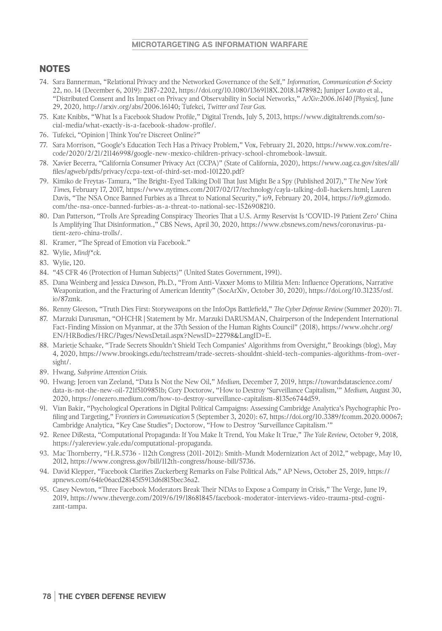#### **MICROTARGETING AS INFORMATION WARFARE**

- 74. Sara Bannerman, "Relational Privacy and the Networked Governance of the Self," *Information, Communication & Society* 22, no. 14 (December 6, 2019): 2187-2202, https://doi.org/10.1080/1369118X.2018.1478982; Juniper Lovato et al., "Distributed Consent and Its Impact on Privacy and Observability in Social Networks," *ArXiv:2006.16140 [Physics]*, June 29, 2020, http://arxiv.org/abs/2006.16140; Tufekci, *Twitter and Tear Gas*.
- 75. Kate Knibbs, "What Is a Facebook Shadow Profile," Digital Trends, July 5, 2013, https://www.digitaltrends.com/social-media/what-exactly-is-a-facebook-shadow-profile/.
- 76. Tufekci, "Opinion | Think You're Discreet Online?"
- 77. Sara Morrison, "Google's Education Tech Has a Privacy Problem," Vox, February 21, 2020, https://www.vox.com/recode/2020/2/21/21146998/google-new-mexico-children-privacy-school-chromebook-lawsuit.
- 78. Xavier Becerra, "California Consumer Privacy Act (CCPA)" (State of California, 2020), https://www.oag.ca.gov/sites/all/ files/agweb/pdfs/privacy/ccpa-text-of-third-set-mod-101220.pdf?
- 79. Kimiko de Freytas-Tamura, "The Bright-Eyed Talking Doll That Just Might Be a Spy (Published 2017)," T*he New York Times*, February 17, 2017, https://www.nytimes.com/2017/02/17/technology/cayla-talking-doll-hackers.html; Lauren Davis, "The NSA Once Banned Furbies as a Threat to National Security," io9, February 20, 2014, https://io9.gizmodo. com/the-nsa-once-banned-furbies-as-a-threat-to-national-sec-1526908210.
- 80. Dan Patterson, "Trolls Are Spreading Conspiracy Theories That a U.S. Army Reservist Is 'COVID-19 Patient Zero' China Is Amplifying That Disinformation.," CBS News, April 30, 2020, https://www.cbsnews.com/news/coronavirus-patient-zero-china-trolls/.
- 81. Kramer, "The Spread of Emotion via Facebook."
- 82. Wylie, *Mindf\*ck*.
- 83. Wylie, 120.
- 84. "45 CFR 46 (Protection of Human Subjects)" (United States Government, 1991).
- 85. Dana Weinberg and Jessica Dawson, Ph.D., "From Anti-Vaxxer Moms to Militia Men: Influence Operations, Narrative Weaponization, and the Fracturing of American Identity" (SocArXiv, October 30, 2020), https://doi.org/10.31235/osf. io/87zmk.
- 86. Renny Gleeson, "Truth Dies First: Storyweapons on the InfoOps Battlefield," *The Cyber Defense Review* (Summer 2020): 71.
- 87. Marzuki Darusman, "OHCHR | Statement by Mr. Marzuki DARUSMAN, Chairperson of the Independent International Fact-Finding Mission on Myanmar, at the 37th Session of the Human Rights Council" (2018), https://www.ohchr.org/ EN/HRBodies/HRC/Pages/NewsDetail.aspx?NewsID=22798&LangID=E.
- 88. Marietje Schaake, "Trade Secrets Shouldn't Shield Tech Companies' Algorithms from Oversight," Brookings (blog), May 4, 2020, https://www.brookings.edu/techstream/trade-secrets-shouldnt-shield-tech-companies-algorithms-from-oversight/.
- 89. Hwang, *Subprime Attention Crisis*.
- 90. Hwang; Jeroen van Zeeland, "Data Is Not the New Oil," *Medium*, December 7, 2019, https://towardsdatascience.com/ data-is-not-the-new-oil-721f5109851b; Cory Doctorow, "How to Destroy 'Surveillance Capitalism,'" *Medium*, August 30, 2020, https://onezero.medium.com/how-to-destroy-surveillance-capitalism-8135e6744d59.
- 91. Vian Bakir, "Psychological Operations in Digital Political Campaigns: Assessing Cambridge Analytica's Psychographic Profiling and Targeting," F*rontiers in Communication* 5 (September 3, 2020): 67, https://doi.org/10.3389/fcomm.2020.00067; Cambridge Analytica, "Key Case Studies"; Doctorow, "How to Destroy 'Surveillance Capitalism.'"
- 92. Renee DiResta, "Computational Propaganda: If You Make It Trend, You Make It True," *The Yale Review*, October 9, 2018, https://yalereview.yale.edu/computational-propaganda.
- 93. Mac Thornberry, "H.R.5736 112th Congress (2011-2012): Smith-Mundt Modernization Act of 2012," webpage, May 10, 2012, https://www.congress.gov/bill/112th-congress/house-bill/5736.
- 94. David Klepper, "Facebook Clarifies Zuckerberg Remarks on False Political Ads," AP News, October 25, 2019, https:// apnews.com/64fe06acd28145f5913d6f815bec36a2.
- 95. Casey Newton, "Three Facebook Moderators Break Their NDAs to Expose a Company in Crisis," The Verge, June 19, 2019, https://www.theverge.com/2019/6/19/18681845/facebook-moderator-interviews-video-trauma-ptsd-cognizant-tampa.